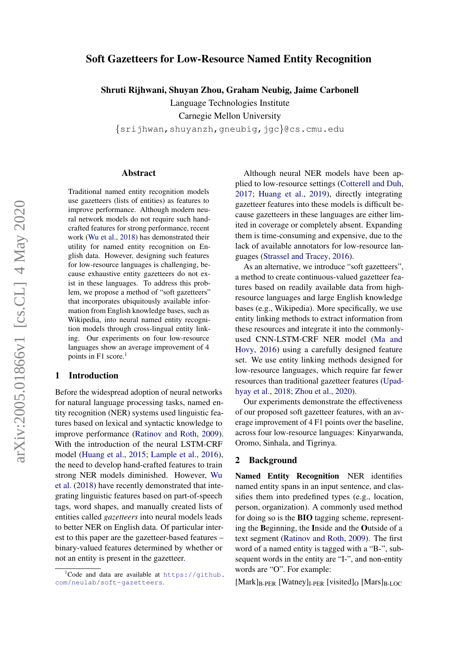# Soft Gazetteers for Low-Resource Named Entity Recognition

Shruti Rijhwani, Shuyan Zhou, Graham Neubig, Jaime Carbonell

Language Technologies Institute

Carnegie Mellon University

{srijhwan,shuyanzh,gneubig,jgc}@cs.cmu.edu

### Abstract

Traditional named entity recognition models use gazetteers (lists of entities) as features to improve performance. Although modern neural network models do not require such handcrafted features for strong performance, recent work [\(Wu et al.,](#page-5-0) [2018\)](#page-5-0) has demonstrated their utility for named entity recognition on English data. However, designing such features for low-resource languages is challenging, because exhaustive entity gazetteers do not exist in these languages. To address this problem, we propose a method of "soft gazetteers" that incorporates ubiquitously available information from English knowledge bases, such as Wikipedia, into neural named entity recognition models through cross-lingual entity linking. Our experiments on four low-resource languages show an average improvement of 4 points in F[1](#page-0-0) score.<sup>1</sup>

# 1 Introduction

Before the widespread adoption of neural networks for natural language processing tasks, named entity recognition (NER) systems used linguistic features based on lexical and syntactic knowledge to improve performance [\(Ratinov and Roth,](#page-5-1) [2009\)](#page-5-1). With the introduction of the neural LSTM-CRF model [\(Huang et al.,](#page-5-2) [2015;](#page-5-2) [Lample et al.,](#page-5-3) [2016\)](#page-5-3), the need to develop hand-crafted features to train strong NER models diminished. However, [Wu](#page-5-0) [et al.](#page-5-0) [\(2018\)](#page-5-0) have recently demonstrated that integrating linguistic features based on part-of-speech tags, word shapes, and manually created lists of entities called *gazetteers* into neural models leads to better NER on English data. Of particular interest to this paper are the gazetteer-based features – binary-valued features determined by whether or not an entity is present in the gazetteer.

Although neural NER models have been applied to low-resource settings [\(Cotterell and Duh,](#page-5-4) [2017;](#page-5-4) [Huang et al.,](#page-5-5) [2019\)](#page-5-5), directly integrating gazetteer features into these models is difficult because gazetteers in these languages are either limited in coverage or completely absent. Expanding them is time-consuming and expensive, due to the lack of available annotators for low-resource languages [\(Strassel and Tracey,](#page-5-6) [2016\)](#page-5-6).

As an alternative, we introduce "soft gazetteers". a method to create continuous-valued gazetteer features based on readily available data from highresource languages and large English knowledge bases (e.g., Wikipedia). More specifically, we use entity linking methods to extract information from these resources and integrate it into the commonlyused CNN-LSTM-CRF NER model [\(Ma and](#page-5-7) [Hovy,](#page-5-7) [2016\)](#page-5-7) using a carefully designed feature set. We use entity linking methods designed for low-resource languages, which require far fewer resources than traditional gazetteer features [\(Upad](#page-5-8)[hyay et al.,](#page-5-8) [2018;](#page-5-8) [Zhou et al.,](#page-5-9) [2020\)](#page-5-9).

Our experiments demonstrate the effectiveness of our proposed soft gazetteer features, with an average improvement of 4 F1 points over the baseline, across four low-resource languages: Kinyarwanda, Oromo, Sinhala, and Tigrinya.

### 2 Background

Named Entity Recognition NER identifies named entity spans in an input sentence, and classifies them into predefined types (e.g., location, person, organization). A commonly used method for doing so is the BIO tagging scheme, representing the Beginning, the Inside and the Outside of a text segment [\(Ratinov and Roth,](#page-5-1) [2009\)](#page-5-1). The first word of a named entity is tagged with a "B-", subsequent words in the entity are "I-", and non-entity words are "O". For example:

 $[Mark]_{B-PER}$  [Watney]<sub>I-PER</sub> [visited]<sub>O</sub> [Mars]<sub>B-LOC</sub>

<span id="page-0-0"></span><sup>&</sup>lt;sup>1</sup>Code and data are available at [https://github.](https://github.com/neulab/soft-gazetteers) [com/neulab/soft-gazetteers](https://github.com/neulab/soft-gazetteers).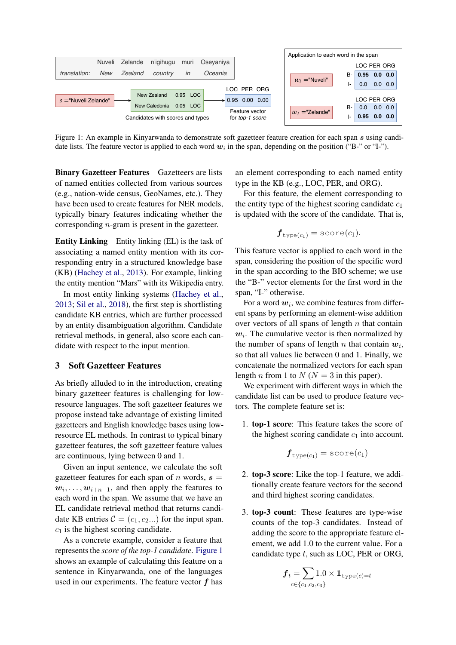<span id="page-1-0"></span>

Figure 1: An example in Kinyarwanda to demonstrate soft gazetteer feature creation for each span s using candidate lists. The feature vector is applied to each word  $w_i$  in the span, depending on the position ("B-" or "I-").

Binary Gazetteer Features Gazetteers are lists of named entities collected from various sources (e.g., nation-wide census, GeoNames, etc.). They have been used to create features for NER models, typically binary features indicating whether the corresponding n-gram is present in the gazetteer.

Entity Linking Entity linking (EL) is the task of associating a named entity mention with its corresponding entry in a structured knowledge base (KB) [\(Hachey et al.,](#page-5-10) [2013\)](#page-5-10). For example, linking the entity mention "Mars" with its Wikipedia entry.

In most entity linking systems [\(Hachey et al.,](#page-5-10) [2013;](#page-5-10) [Sil et al.,](#page-5-11) [2018\)](#page-5-11), the first step is shortlisting candidate KB entries, which are further processed by an entity disambiguation algorithm. Candidate retrieval methods, in general, also score each candidate with respect to the input mention.

# 3 Soft Gazetteer Features

As briefly alluded to in the introduction, creating binary gazetteer features is challenging for lowresource languages. The soft gazetteer features we propose instead take advantage of existing limited gazetteers and English knowledge bases using lowresource EL methods. In contrast to typical binary gazetteer features, the soft gazetteer feature values are continuous, lying between 0 and 1.

Given an input sentence, we calculate the soft gazetteer features for each span of n words,  $s =$  $w_i, \ldots, w_{i+n-1}$ , and then apply the features to each word in the span. We assume that we have an EL candidate retrieval method that returns candidate KB entries  $C = (c_1, c_2, \dots)$  for the input span.  $c_1$  is the highest scoring candidate.

As a concrete example, consider a feature that represents the *score of the top-1 candidate*. [Figure 1](#page-1-0) shows an example of calculating this feature on a sentence in Kinyarwanda, one of the languages used in our experiments. The feature vector  $f$  has an element corresponding to each named entity type in the KB (e.g., LOC, PER, and ORG).

For this feature, the element corresponding to the entity type of the highest scoring candidate  $c_1$ is updated with the score of the candidate. That is,

$$
\bm{f}_{\texttt{type}(c_1)} = \texttt{score}(c_1).
$$

This feature vector is applied to each word in the span, considering the position of the specific word in the span according to the BIO scheme; we use the "B-" vector elements for the first word in the span, "I-" otherwise.

For a word  $w_i$ , we combine features from different spans by performing an element-wise addition over vectors of all spans of length  $n$  that contain  $w_i$ . The cumulative vector is then normalized by the number of spans of length n that contain  $w_i$ , so that all values lie between 0 and 1. Finally, we concatenate the normalized vectors for each span length *n* from 1 to  $N (N = 3$  in this paper).

We experiment with different ways in which the candidate list can be used to produce feature vectors. The complete feature set is:

1. top-1 score: This feature takes the score of the highest scoring candidate  $c_1$  into account.

$$
\bm{f}_{\text{type}(c_1)} = \text{score}(c_1)
$$

- 2. top-3 score: Like the top-1 feature, we additionally create feature vectors for the second and third highest scoring candidates.
- 3. top-3 count: These features are type-wise counts of the top-3 candidates. Instead of adding the score to the appropriate feature element, we add 1.0 to the current value. For a candidate type  $t$ , such as LOC, PER or ORG,

$$
\bm{f}_t \!=\! \sum_{c \in \{c_1, c_2, c_3\}} \!\! 1.0 \times \bm{1}_{\text{type}(c) = t}
$$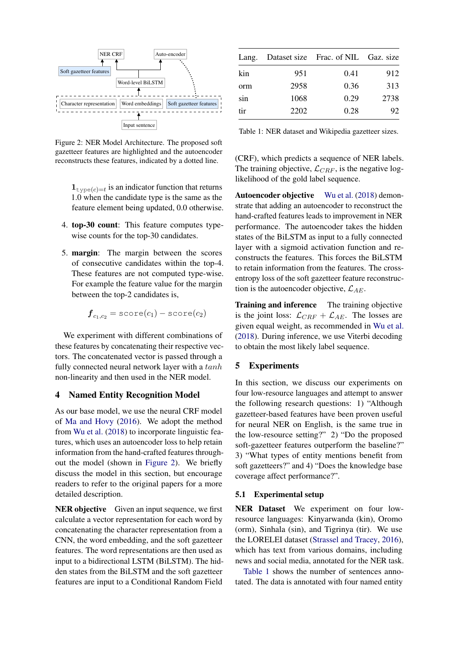<span id="page-2-0"></span>

Figure 2: NER Model Architecture. The proposed soft gazetteer features are highlighted and the autoencoder reconstructs these features, indicated by a dotted line.

 $\mathbf{1}_{\text{type}(c)=t}$  is an indicator function that returns 1.0 when the candidate type is the same as the feature element being updated, 0.0 otherwise.

- 4. top-30 count: This feature computes typewise counts for the top-30 candidates.
- 5. margin: The margin between the scores of consecutive candidates within the top-4. These features are not computed type-wise. For example the feature value for the margin between the top-2 candidates is,

$$
\bm{f}_{c_1,c_2} = \texttt{score}(c_1) - \texttt{score}(c_2)
$$

We experiment with different combinations of these features by concatenating their respective vectors. The concatenated vector is passed through a fully connected neural network layer with a  $tanh$ non-linearity and then used in the NER model.

# <span id="page-2-2"></span>4 Named Entity Recognition Model

As our base model, we use the neural CRF model of [Ma and Hovy](#page-5-7) [\(2016\)](#page-5-7). We adopt the method from [Wu et al.](#page-5-0) [\(2018\)](#page-5-0) to incorporate linguistic features, which uses an autoencoder loss to help retain information from the hand-crafted features throughout the model (shown in [Figure 2\)](#page-2-0). We briefly discuss the model in this section, but encourage readers to refer to the original papers for a more detailed description.

NER objective Given an input sequence, we first calculate a vector representation for each word by concatenating the character representation from a CNN, the word embedding, and the soft gazetteer features. The word representations are then used as input to a bidirectional LSTM (BiLSTM). The hidden states from the BiLSTM and the soft gazetteer features are input to a Conditional Random Field

<span id="page-2-1"></span>

| Lang. |      | Dataset size Frac. of NIL Gaz. size |      |
|-------|------|-------------------------------------|------|
| kin   | 951  | 0.41                                | 912  |
| orm   | 2958 | 0.36                                | 313  |
| sin   | 1068 | 0.29                                | 2738 |
| tir   | 2202 | 0.28                                | 92   |

Table 1: NER dataset and Wikipedia gazetteer sizes.

(CRF), which predicts a sequence of NER labels. The training objective,  $\mathcal{L}_{CRF}$ , is the negative loglikelihood of the gold label sequence.

Autoencoder objective [Wu et al.](#page-5-0) [\(2018\)](#page-5-0) demonstrate that adding an autoencoder to reconstruct the hand-crafted features leads to improvement in NER performance. The autoencoder takes the hidden states of the BiLSTM as input to a fully connected layer with a sigmoid activation function and reconstructs the features. This forces the BiLSTM to retain information from the features. The crossentropy loss of the soft gazetteer feature reconstruction is the autoencoder objective,  $\mathcal{L}_{AE}$ .

Training and inference The training objective is the joint loss:  $\mathcal{L}_{CRF} + \mathcal{L}_{AE}$ . The losses are given equal weight, as recommended in [Wu et al.](#page-5-0) [\(2018\)](#page-5-0). During inference, we use Viterbi decoding to obtain the most likely label sequence.

# 5 Experiments

In this section, we discuss our experiments on four low-resource languages and attempt to answer the following research questions: 1) "Although gazetteer-based features have been proven useful for neural NER on English, is the same true in the low-resource setting?" 2) "Do the proposed soft-gazetteer features outperform the baseline?" 3) "What types of entity mentions benefit from soft gazetteers?" and 4) "Does the knowledge base coverage affect performance?".

#### 5.1 Experimental setup

NER Dataset We experiment on four lowresource languages: Kinyarwanda (kin), Oromo (orm), Sinhala (sin), and Tigrinya (tir). We use the LORELEI dataset [\(Strassel and Tracey,](#page-5-6) [2016\)](#page-5-6), which has text from various domains, including news and social media, annotated for the NER task.

[Table 1](#page-2-1) shows the number of sentences annotated. The data is annotated with four named entity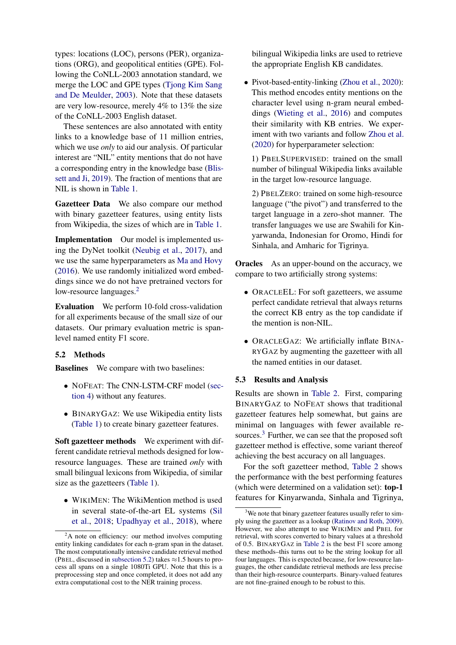types: locations (LOC), persons (PER), organizations (ORG), and geopolitical entities (GPE). Following the CoNLL-2003 annotation standard, we merge the LOC and GPE types [\(Tjong Kim Sang](#page-5-12) [and De Meulder,](#page-5-12) [2003\)](#page-5-12). Note that these datasets are very low-resource, merely 4% to 13% the size of the CoNLL-2003 English dataset.

These sentences are also annotated with entity links to a knowledge base of 11 million entries, which we use *only* to aid our analysis. Of particular interest are "NIL" entity mentions that do not have a corresponding entry in the knowledge base [\(Blis](#page-5-13)[sett and Ji,](#page-5-13) [2019\)](#page-5-13). The fraction of mentions that are NIL is shown in [Table 1.](#page-2-1)

Gazetteer Data We also compare our method with binary gazetteer features, using entity lists from Wikipedia, the sizes of which are in [Table 1.](#page-2-1)

Implementation Our model is implemented using the DyNet toolkit [\(Neubig et al.,](#page-5-14) [2017\)](#page-5-14), and we use the same hyperparameters as [Ma and Hovy](#page-5-7) [\(2016\)](#page-5-7). We use randomly initialized word embeddings since we do not have pretrained vectors for low-resource languages.<sup>[2](#page-3-0)</sup>

Evaluation We perform 10-fold cross-validation for all experiments because of the small size of our datasets. Our primary evaluation metric is spanlevel named entity F1 score.

# <span id="page-3-1"></span>5.2 Methods

**Baselines** We compare with two baselines:

- NOFEAT: The CNN-LSTM-CRF model [\(sec](#page-2-2)[tion 4\)](#page-2-2) without any features.
- BINARYGAZ: We use Wikipedia entity lists [\(Table 1\)](#page-2-1) to create binary gazetteer features.

Soft gazetteer methods We experiment with different candidate retrieval methods designed for lowresource languages. These are trained *only* with small bilingual lexicons from Wikipedia, of similar size as the gazetteers [\(Table 1\)](#page-2-1).

• WIKIMEN: The WikiMention method is used in several state-of-the-art EL systems [\(Sil](#page-5-11) [et al.,](#page-5-11) [2018;](#page-5-11) [Upadhyay et al.,](#page-5-8) [2018\)](#page-5-8), where bilingual Wikipedia links are used to retrieve the appropriate English KB candidates.

• Pivot-based-entity-linking [\(Zhou et al.,](#page-5-9) [2020\)](#page-5-9): This method encodes entity mentions on the character level using n-gram neural embeddings [\(Wieting et al.,](#page-5-15) [2016\)](#page-5-15) and computes their similarity with KB entries. We experiment with two variants and follow [Zhou et al.](#page-5-9) [\(2020\)](#page-5-9) for hyperparameter selection:

1) PBELSUPERVISED: trained on the small number of bilingual Wikipedia links available in the target low-resource language.

2) PBELZERO: trained on some high-resource language ("the pivot") and transferred to the target language in a zero-shot manner. The transfer languages we use are Swahili for Kinyarwanda, Indonesian for Oromo, Hindi for Sinhala, and Amharic for Tigrinya.

**Oracles** As an upper-bound on the accuracy, we compare to two artificially strong systems:

- ORACLEEL: For soft gazetteers, we assume perfect candidate retrieval that always returns the correct KB entry as the top candidate if the mention is non-NIL.
- ORACLEGAZ: We artificially inflate BINA-RYGAZ by augmenting the gazetteer with all the named entities in our dataset.

#### 5.3 Results and Analysis

Results are shown in [Table 2.](#page-4-0) First, comparing BINARYGAZ to NOFEAT shows that traditional gazetteer features help somewhat, but gains are minimal on languages with fewer available re-sources.<sup>[3](#page-3-2)</sup> Further, we can see that the proposed soft gazetteer method is effective, some variant thereof achieving the best accuracy on all languages.

For the soft gazetteer method, [Table 2](#page-4-0) shows the performance with the best performing features (which were determined on a validation set): top-1 features for Kinyarwanda, Sinhala and Tigrinya,

<span id="page-3-0"></span> ${}^{2}$ A note on efficiency: our method involves computing entity linking candidates for each n-gram span in the dataset. The most computationally intensive candidate retrieval method (PBEL, discussed in [subsection 5.2\)](#page-3-1) takes  $\approx$  1.5 hours to process all spans on a single 1080Ti GPU. Note that this is a preprocessing step and once completed, it does not add any extra computational cost to the NER training process.

<span id="page-3-2"></span><sup>&</sup>lt;sup>3</sup>We note that binary gazetteer features usually refer to simply using the gazetteer as a lookup [\(Ratinov and Roth,](#page-5-1) [2009\)](#page-5-1). However, we also attempt to use WIKIMEN and PBEL for retrieval, with scores converted to binary values at a threshold of 0.5. BINARYGAZ in [Table 2](#page-4-0) is the best F1 score among these methods–this turns out to be the string lookup for all four languages. This is expected because, for low-resource languages, the other candidate retrieval methods are less precise than their high-resource counterparts. Binary-valued features are not fine-grained enough to be robust to this.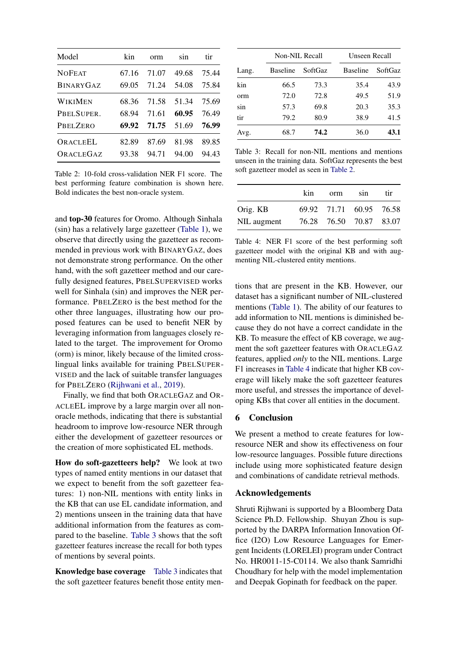<span id="page-4-0"></span>

| Model            | kin   | orm   | sin   | tir   |
|------------------|-------|-------|-------|-------|
| <b>NOFEAT</b>    | 67.16 | 71.07 | 49.68 | 75.44 |
| <b>BINARYGAZ</b> | 69.05 | 71.24 | 54.08 | 75.84 |
| WIKIMEN          | 68.36 | 71.58 | 51.34 | 75.69 |
| PBELSUPER.       | 68.94 | 71.61 | 60.95 | 76.49 |
| <b>PBELZERO</b>  | 69.92 | 71.75 | 51.69 | 76.99 |
| ORACLEEL         | 82.89 | 87.69 | 81.98 | 89.85 |
| ORACLEGAZ        | 93.38 | 94.71 | 94.00 | 94.43 |

Table 2: 10-fold cross-validation NER F1 score. The best performing feature combination is shown here. Bold indicates the best non-oracle system.

and top-30 features for Oromo. Although Sinhala (sin) has a relatively large gazetteer [\(Table 1\)](#page-2-1), we observe that directly using the gazetteer as recommended in previous work with BINARYGAZ, does not demonstrate strong performance. On the other hand, with the soft gazetteer method and our carefully designed features, PBELSUPERVISED works well for Sinhala (sin) and improves the NER performance. PBELZERO is the best method for the other three languages, illustrating how our proposed features can be used to benefit NER by leveraging information from languages closely related to the target. The improvement for Oromo (orm) is minor, likely because of the limited crosslingual links available for training PBELSUPER-VISED and the lack of suitable transfer languages for PBELZERO [\(Rijhwani et al.,](#page-5-16) [2019\)](#page-5-16).

Finally, we find that both ORACLEGAZ and OR-ACLEEL improve by a large margin over all nonoracle methods, indicating that there is substantial headroom to improve low-resource NER through either the development of gazetteer resources or the creation of more sophisticated EL methods.

How do soft-gazetteers help? We look at two types of named entity mentions in our dataset that we expect to benefit from the soft gazetteer features: 1) non-NIL mentions with entity links in the KB that can use EL candidate information, and 2) mentions unseen in the training data that have additional information from the features as compared to the baseline. [Table 3](#page-4-1) shows that the soft gazetteer features increase the recall for both types of mentions by several points.

Knowledge base coverage [Table 3](#page-4-1) indicates that the soft gazetteer features benefit those entity men-

<span id="page-4-1"></span>

|       | Non-NIL Recall  |                | Unseen Recall   |         |  |
|-------|-----------------|----------------|-----------------|---------|--|
| Lang. | <b>Baseline</b> | <b>SoftGaz</b> | <b>Baseline</b> | SoftGaz |  |
| kin   | 66.5            | 73.3           | 35.4            | 43.9    |  |
| orm   | 72.0            | 72.8           | 49.5            | 51.9    |  |
| sin   | 57.3            | 69.8           | 20.3            | 35.3    |  |
| tir   | 79.2            | 80.9           | 38.9            | 41.5    |  |
| Avg.  | 68.7            | 74.2           | 36.0            | 43.1    |  |

Table 3: Recall for non-NIL mentions and mentions unseen in the training data. SoftGaz represents the best soft gazetteer model as seen in [Table 2.](#page-4-0)

<span id="page-4-2"></span>

|             | kin | orm | sin                     | tir |
|-------------|-----|-----|-------------------------|-----|
| Orig. KB    |     |     | 69.92 71.71 60.95 76.58 |     |
| NIL augment |     |     | 76.28 76.50 70.87 83.07 |     |

Table 4: NER F1 score of the best performing soft gazetteer model with the original KB and with augmenting NIL-clustered entity mentions.

tions that are present in the KB. However, our dataset has a significant number of NIL-clustered mentions [\(Table 1\)](#page-2-1). The ability of our features to add information to NIL mentions is diminished because they do not have a correct candidate in the KB. To measure the effect of KB coverage, we augment the soft gazetteer features with ORACLEGAZ features, applied *only* to the NIL mentions. Large F1 increases in [Table 4](#page-4-2) indicate that higher KB coverage will likely make the soft gazetteer features more useful, and stresses the importance of developing KBs that cover all entities in the document.

# 6 Conclusion

We present a method to create features for lowresource NER and show its effectiveness on four low-resource languages. Possible future directions include using more sophisticated feature design and combinations of candidate retrieval methods.

# Acknowledgements

Shruti Rijhwani is supported by a Bloomberg Data Science Ph.D. Fellowship. Shuyan Zhou is supported by the DARPA Information Innovation Office (I2O) Low Resource Languages for Emergent Incidents (LORELEI) program under Contract No. HR0011-15-C0114. We also thank Samridhi Choudhary for help with the model implementation and Deepak Gopinath for feedback on the paper.